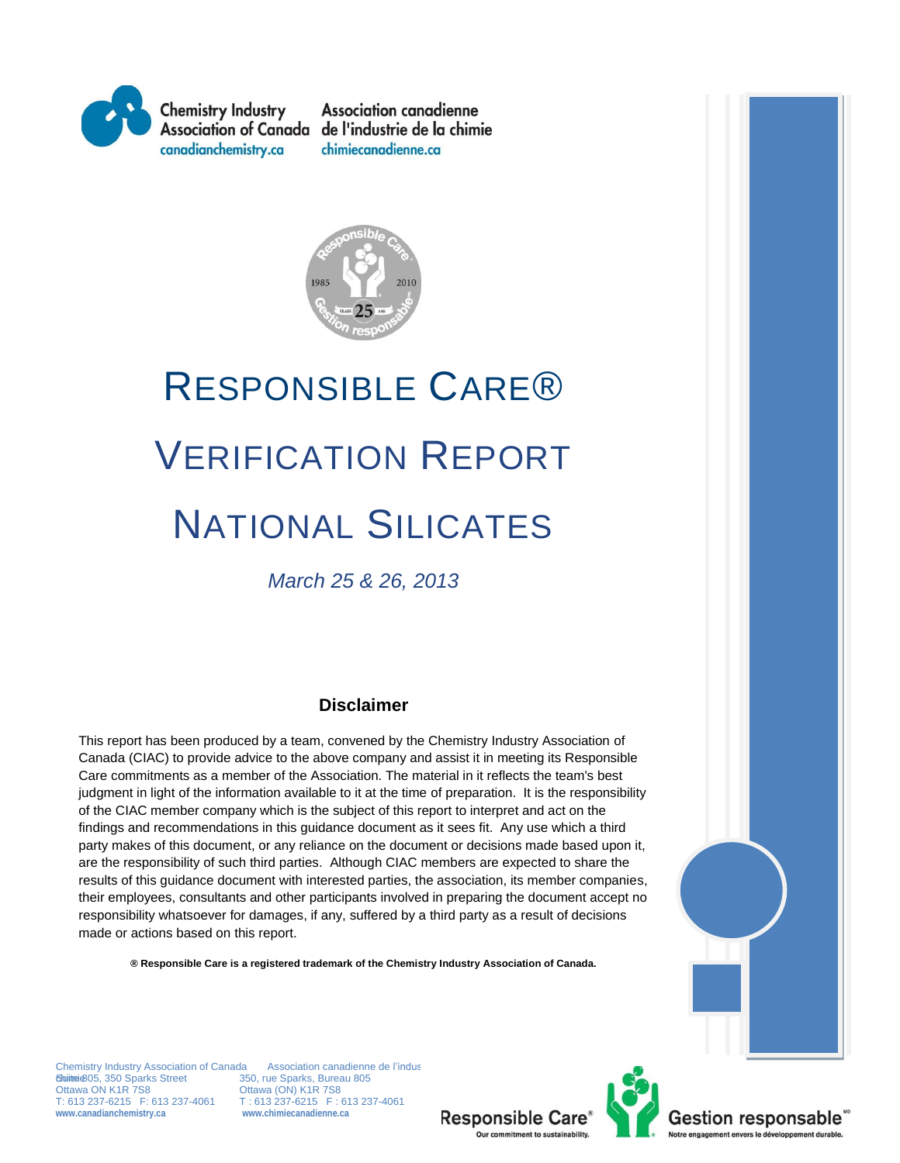

**Association canadienne** Association of Canada de l'industrie de la chimie chimiecanadienne.ca



# RESPONSIBLE CARE® VERIFICATION REPORT NATIONAL SILICATES

*March 25 & 26, 2013*

#### **Disclaimer**

This report has been produced by a team, convened by the Chemistry Industry Association of Canada (CIAC) to provide advice to the above company and assist it in meeting its Responsible Care commitments as a member of the Association. The material in it reflects the team's best judgment in light of the information available to it at the time of preparation. It is the responsibility of the CIAC member company which is the subject of this report to interpret and act on the findings and recommendations in this guidance document as it sees fit. Any use which a third party makes of this document, or any reliance on the document or decisions made based upon it, are the responsibility of such third parties. Although CIAC members are expected to share the results of this guidance document with interested parties, the association, its member companies, their employees, consultants and other participants involved in preparing the document accept no responsibility whatsoever for damages, if any, suffered by a third party as a result of decisions made or actions based on this report.

**® Responsible Care is a registered trademark of the Chemistry Industry Association of Canada.**

Chemistry Industry Association of Canada — Association canadienne de l'indus<br>**Suite 6**05, 350 Sparks Street — 350, rue Sparks, Bureau 805 Ottawa ON K1R 7S8 Ottawa (ON) K1R 7S8<br>T: 613 237-6215 F: 613 237-4061 T: 613 237-6215 F: 1 **www.canadianchemistry.ca www.chimiecanadienne.ca**

T: 613 237-6215 F: 613 237-4061<br>www.chimiecanadienne.ca



Gestion responsable **Notre engagement envers le développement durable**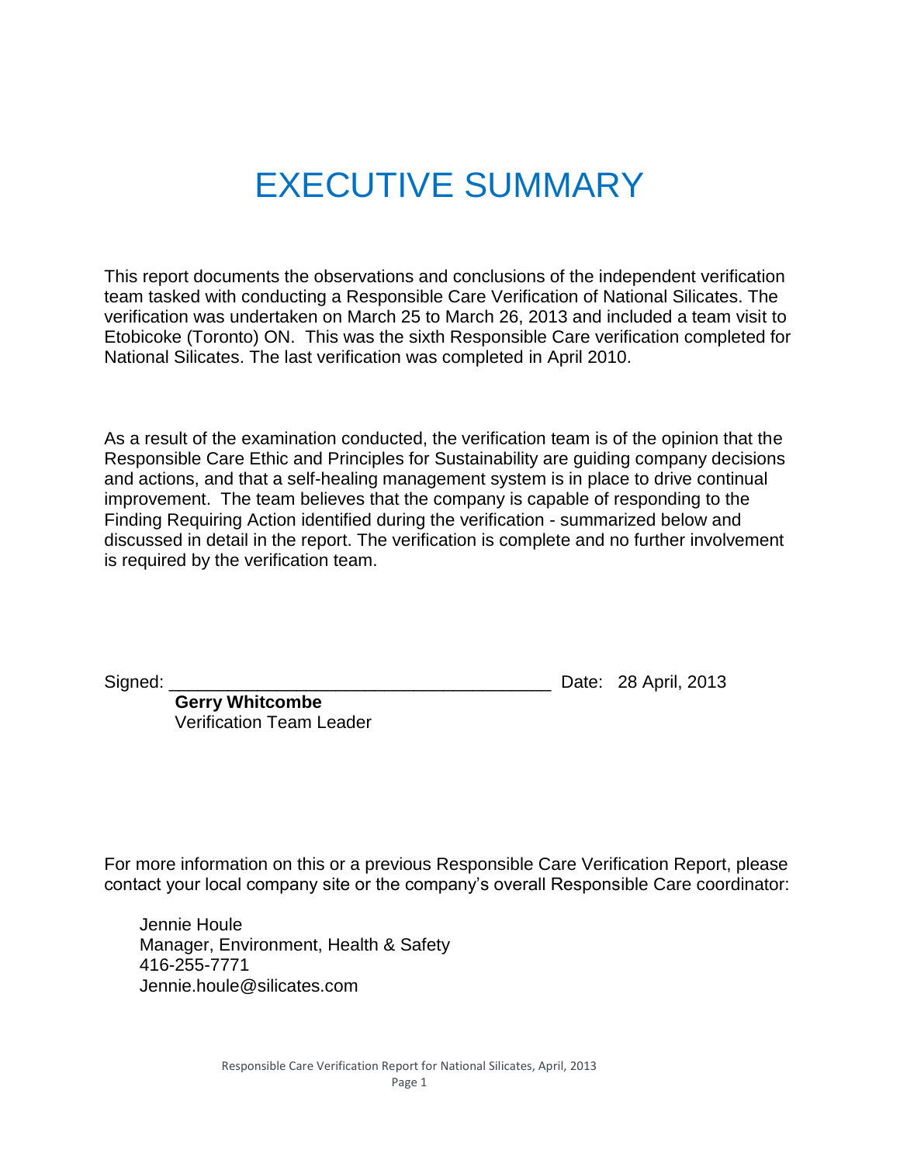## EXECUTIVE SUMMARY

This report documents the observations and conclusions of the independent verification team tasked with conducting a Responsible Care Verification of National Silicates. The verification was undertaken on March 25 to March 26, 2013 and included a team visit to Etobicoke (Toronto) ON. This was the sixth Responsible Care verification completed for National Silicates. The last verification was completed in April 2010.

As a result of the examination conducted, the verification team is of the opinion that the Responsible Care Ethic and Principles for Sustainability are guiding company decisions and actions, and that a self-healing management system is in place to drive continual improvement. The team believes that the company is capable of responding to the Finding Requiring Action identified during the verification - summarized below and discussed in detail in the report. The verification is complete and no further involvement is required by the verification team.

Signed: \_\_\_\_\_\_\_\_\_\_\_\_\_\_\_\_\_\_\_\_\_\_\_\_\_\_\_\_\_\_\_\_\_\_\_\_\_\_\_ Date: 28 April, 2013

**Gerry Whitcombe** Verification Team Leader

For more information on this or a previous Responsible Care Verification Report, please contact your local company site or the company's overall Responsible Care coordinator:

Jennie Houle Manager, Environment, Health & Safety 416-255-7771 Jennie.houle@silicates.com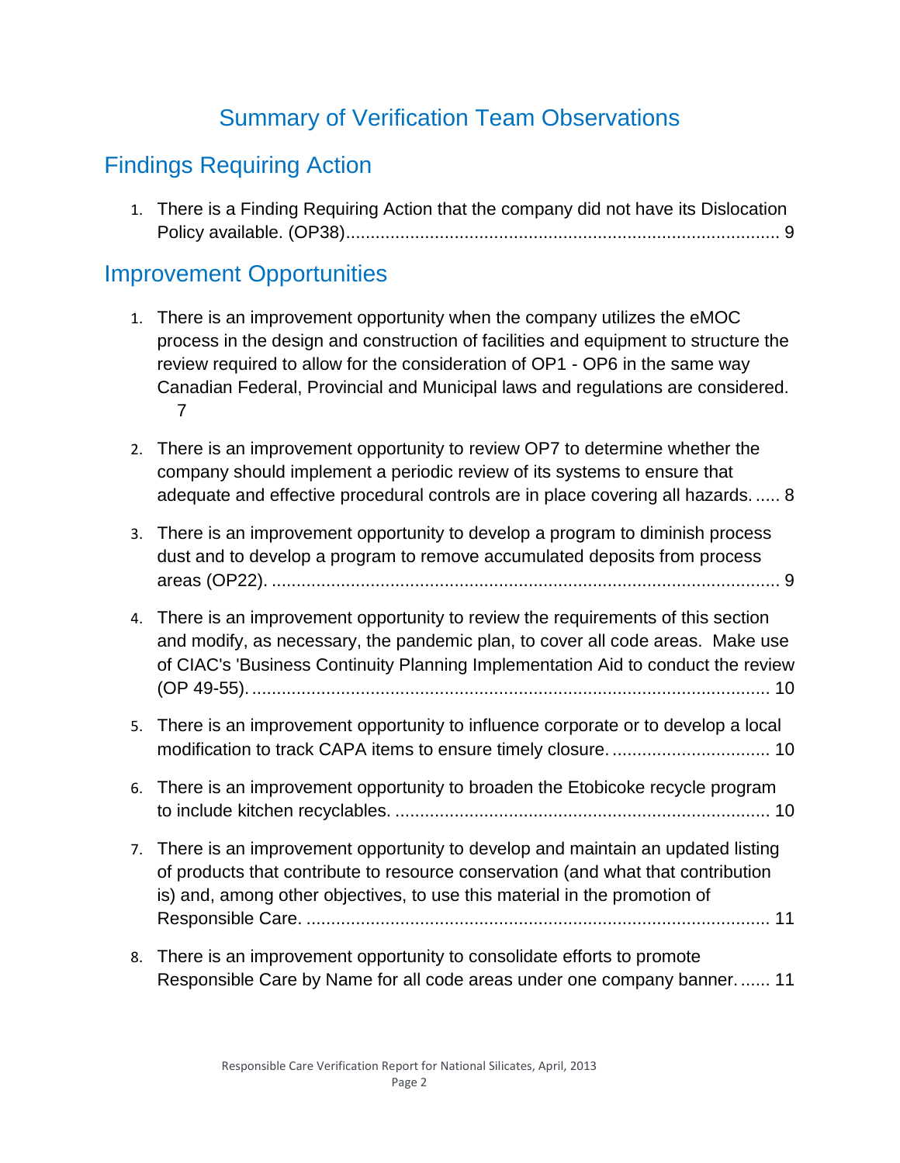## Summary of Verification Team Observations

## Findings Requiring Action

1. [There is a Finding Requiring Action that the company did not have its Dislocation](#page-9-0)  [Policy available. \(OP38\)........................................................................................](#page-9-0) 9

## Improvement Opportunities

- 1. [There is an improvement opportunity when the company utilizes the eMOC](#page-7-0)  [process in the design and construction of facilities and equipment to structure the](#page-7-0)  [review required to allow for the consideration of OP1 -](#page-7-0) OP6 in the same way [Canadian Federal, Provincial and Municipal laws and regulations are considered.](#page-7-0) [7](#page-7-0)
- 2. [There is an improvement opportunity to](#page-8-0) review OP7 to determine whether the [company should implement a periodic review of its systems to ensure that](#page-8-0)  [adequate and effective procedural controls are in place covering all hazards.](#page-8-0) ..... 8
- 3. [There is an improvement opportunity to develop a program to diminish process](#page-9-1)  [dust and to develop a program to remove accumulated deposits from process](#page-9-1)  areas (OP22). [.......................................................................................................](#page-9-1) 9
- 4. [There is an improvement opportunity to review the requirements of this section](#page-10-0)  [and modify, as necessary, the pandemic plan, to cover all code areas. Make use](#page-10-0) [of CIAC's 'Business Continuity Planning Implementation Aid to conduct the review](#page-10-0)  (OP 49-55). [.........................................................................................................](#page-10-0) 10
- 5. [There is an improvement opportunity to influence corporate or to develop a local](#page-10-1)  [modification to track CAPA items to ensure timely closure.](#page-10-1) ................................ 10
- 6. [There is an improvement opportunity to broaden the Etobicoke recycle program](#page-10-2)  to include kitchen recyclables. [............................................................................](#page-10-2) 10
- 7. [There is an improvement opportunity to develop and maintain an updated listing](#page-11-0)  [of products that contribute to resource conservation \(and what that contribution](#page-11-0)  [is\) and, among other objectives, to use this material in the promotion of](#page-11-0)  Responsible Care. [..............................................................................................](#page-11-0) 11
- 8. [There is an improvement opportunity to consolidate efforts to promote](#page-11-1)  [Responsible Care by Name for all code areas under one company banner.](#page-11-1) ...... 11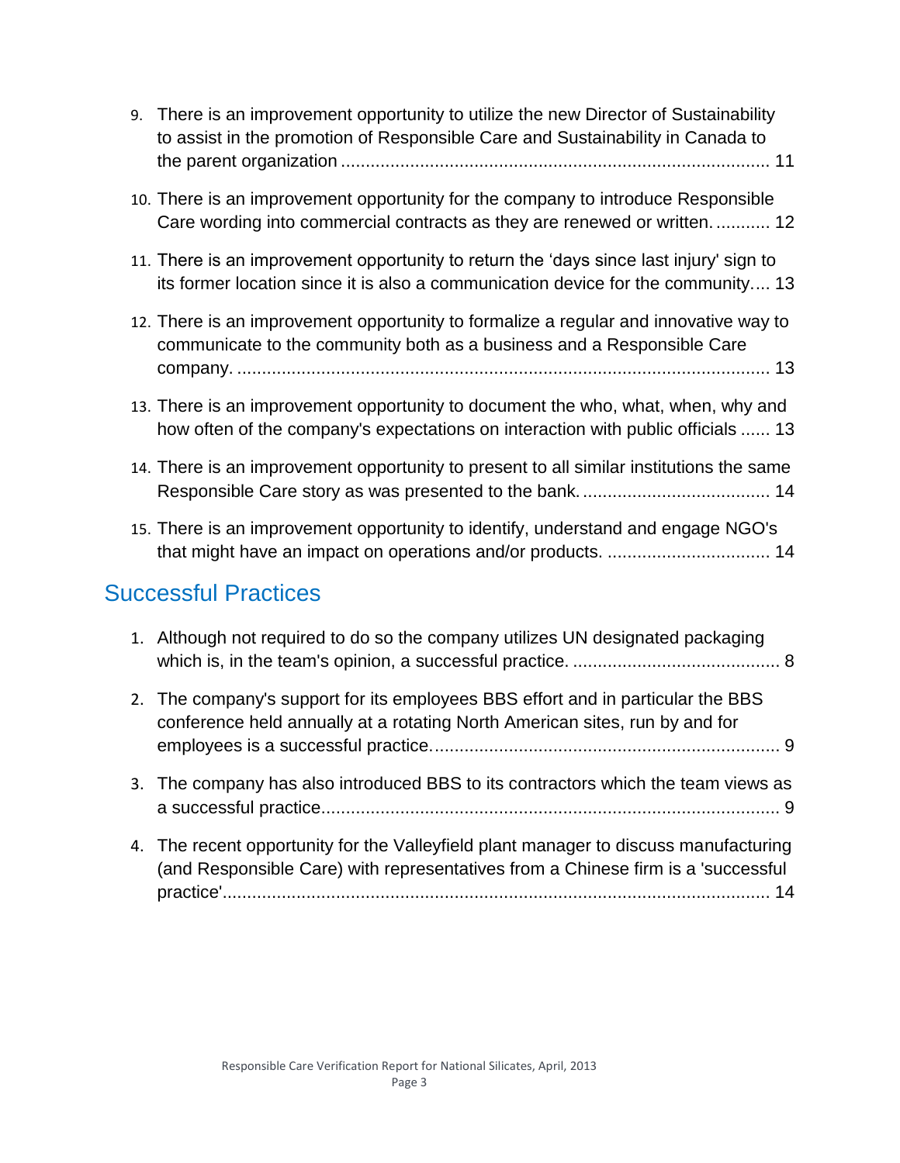| 9.                          | There is an improvement opportunity to utilize the new Director of Sustainability<br>to assist in the promotion of Responsible Care and Sustainability in Canada to        |  |  |  |
|-----------------------------|----------------------------------------------------------------------------------------------------------------------------------------------------------------------------|--|--|--|
|                             | 10. There is an improvement opportunity for the company to introduce Responsible<br>Care wording into commercial contracts as they are renewed or written 12               |  |  |  |
|                             | 11. There is an improvement opportunity to return the 'days since last injury' sign to<br>its former location since it is also a communication device for the community 13 |  |  |  |
|                             | 12. There is an improvement opportunity to formalize a regular and innovative way to<br>communicate to the community both as a business and a Responsible Care             |  |  |  |
|                             | 13. There is an improvement opportunity to document the who, what, when, why and<br>how often of the company's expectations on interaction with public officials  13       |  |  |  |
|                             | 14. There is an improvement opportunity to present to all similar institutions the same                                                                                    |  |  |  |
|                             | 15. There is an improvement opportunity to identify, understand and engage NGO's<br>that might have an impact on operations and/or products.  14                           |  |  |  |
| <b>Successful Practices</b> |                                                                                                                                                                            |  |  |  |
|                             | 1. Although not required to do so the company utilizes UN designated packaging                                                                                             |  |  |  |
| 2.                          | The company's support for its employees BBS effort and in particular the BBS<br>conference held annually at a rotating North American sites, run by and for                |  |  |  |
|                             | 3. The company has also introduced BBS to its contractors which the team views as                                                                                          |  |  |  |

- [a successful practice.............................................................................................](#page-9-3) 9 4. [The recent opportunity for the Valleyfield plant manager to discuss manufacturing](#page-14-2)  [\(and Responsible Care\) with representatives from a Chinese firm is a 'successful](#page-14-2) 
	- [practice'...............................................................................................................](#page-14-2) 14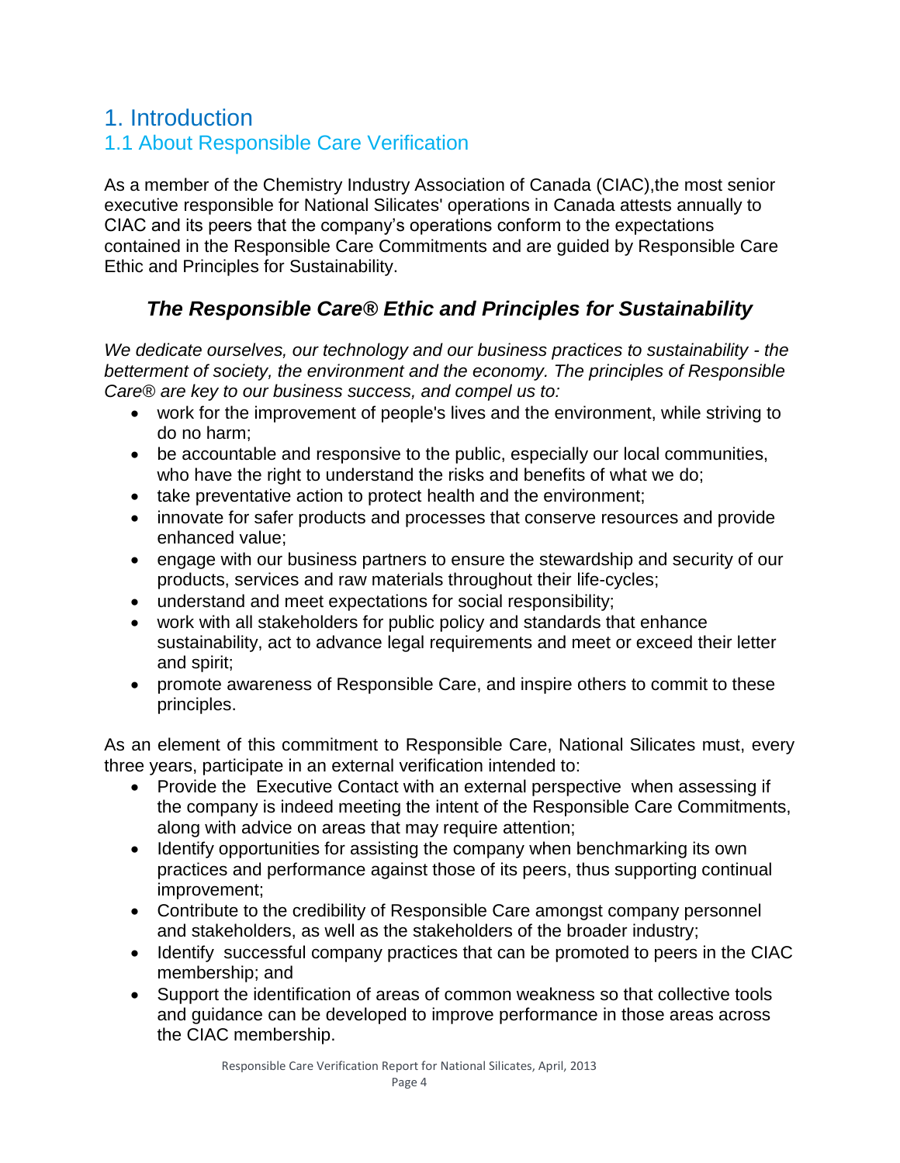## 1. Introduction 1.1 About Responsible Care Verification

As a member of the Chemistry Industry Association of Canada (CIAC),the most senior executive responsible for National Silicates' operations in Canada attests annually to CIAC and its peers that the company's operations conform to the expectations contained in the Responsible Care Commitments and are guided by Responsible Care Ethic and Principles for Sustainability.

## *The Responsible Care® Ethic and Principles for Sustainability*

*We dedicate ourselves, our technology and our business practices to sustainability - the betterment of society, the environment and the economy. The principles of Responsible Care® are key to our business success, and compel us to:*

- work for the improvement of people's lives and the environment, while striving to do no harm;
- be accountable and responsive to the public, especially our local communities, who have the right to understand the risks and benefits of what we do;
- take preventative action to protect health and the environment;
- innovate for safer products and processes that conserve resources and provide enhanced value;
- engage with our business partners to ensure the stewardship and security of our products, services and raw materials throughout their life-cycles;
- understand and meet expectations for social responsibility;
- work with all stakeholders for public policy and standards that enhance sustainability, act to advance legal requirements and meet or exceed their letter and spirit;
- promote awareness of Responsible Care, and inspire others to commit to these principles.

As an element of this commitment to Responsible Care, National Silicates must, every three years, participate in an external verification intended to:

- Provide the Executive Contact with an external perspective when assessing if the company is indeed meeting the intent of the Responsible Care Commitments, along with advice on areas that may require attention;
- Identify opportunities for assisting the company when benchmarking its own practices and performance against those of its peers, thus supporting continual improvement;
- Contribute to the credibility of Responsible Care amongst company personnel and stakeholders, as well as the stakeholders of the broader industry;
- Identify successful company practices that can be promoted to peers in the CIAC membership; and
- Support the identification of areas of common weakness so that collective tools and guidance can be developed to improve performance in those areas across the CIAC membership.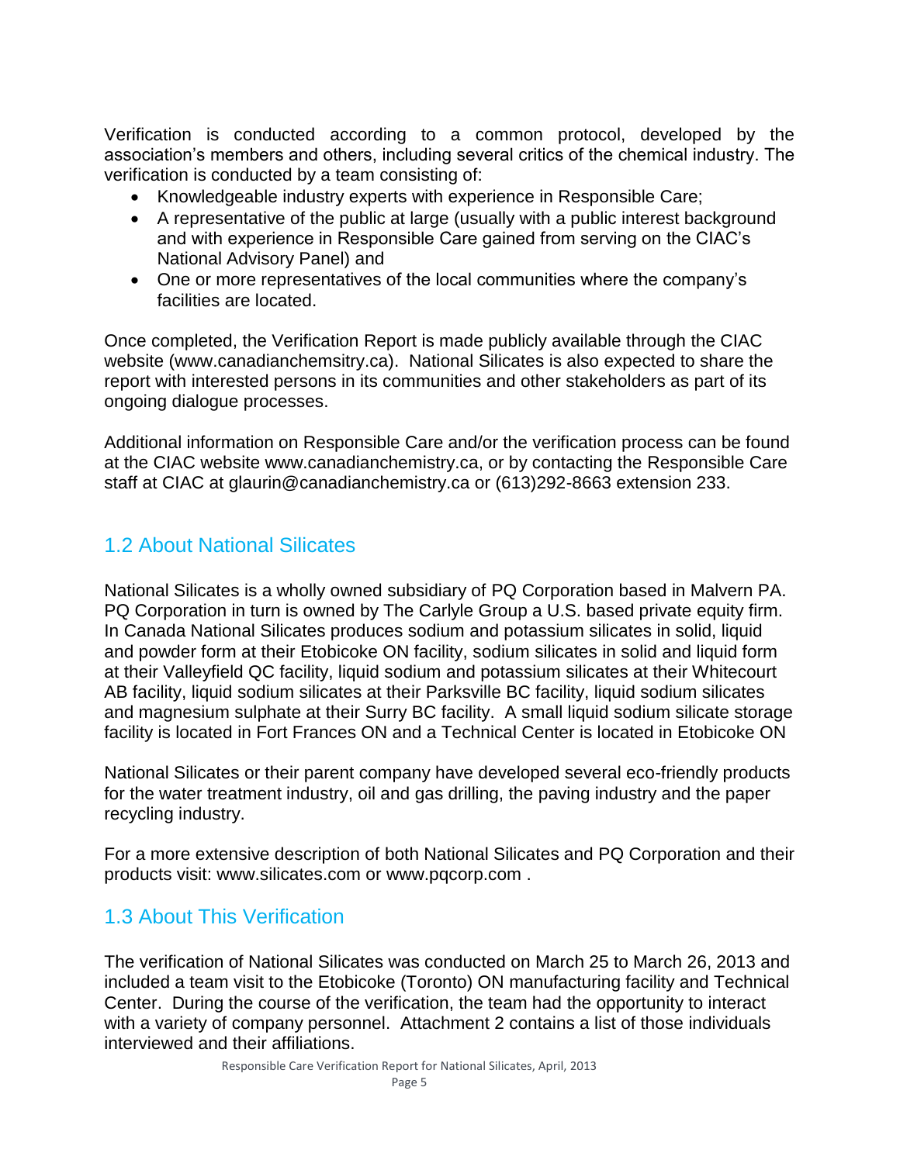Verification is conducted according to a common protocol, developed by the association's members and others, including several critics of the chemical industry. The verification is conducted by a team consisting of:

- Knowledgeable industry experts with experience in Responsible Care;
- A representative of the public at large (usually with a public interest background and with experience in Responsible Care gained from serving on the CIAC's National Advisory Panel) and
- One or more representatives of the local communities where the company's facilities are located.

Once completed, the Verification Report is made publicly available through the CIAC website (www.canadianchemsitry.ca). National Silicates is also expected to share the report with interested persons in its communities and other stakeholders as part of its ongoing dialogue processes.

Additional information on Responsible Care and/or the verification process can be found at the CIAC website www.canadianchemistry.ca, or by contacting the Responsible Care staff at CIAC at glaurin@canadianchemistry.ca or (613)292-8663 extension 233.

## 1.2 About National Silicates

National Silicates is a wholly owned subsidiary of PQ Corporation based in Malvern PA. PQ Corporation in turn is owned by The Carlyle Group a U.S. based private equity firm. In Canada National Silicates produces sodium and potassium silicates in solid, liquid and powder form at their Etobicoke ON facility, sodium silicates in solid and liquid form at their Valleyfield QC facility, liquid sodium and potassium silicates at their Whitecourt AB facility, liquid sodium silicates at their Parksville BC facility, liquid sodium silicates and magnesium sulphate at their Surry BC facility. A small liquid sodium silicate storage facility is located in Fort Frances ON and a Technical Center is located in Etobicoke ON

National Silicates or their parent company have developed several eco-friendly products for the water treatment industry, oil and gas drilling, the paving industry and the paper recycling industry.

For a more extensive description of both National Silicates and PQ Corporation and their products visit: www.silicates.com or www.pqcorp.com .

## 1.3 About This Verification

The verification of National Silicates was conducted on March 25 to March 26, 2013 and included a team visit to the Etobicoke (Toronto) ON manufacturing facility and Technical Center. During the course of the verification, the team had the opportunity to interact with a variety of company personnel. Attachment 2 contains a list of those individuals interviewed and their affiliations.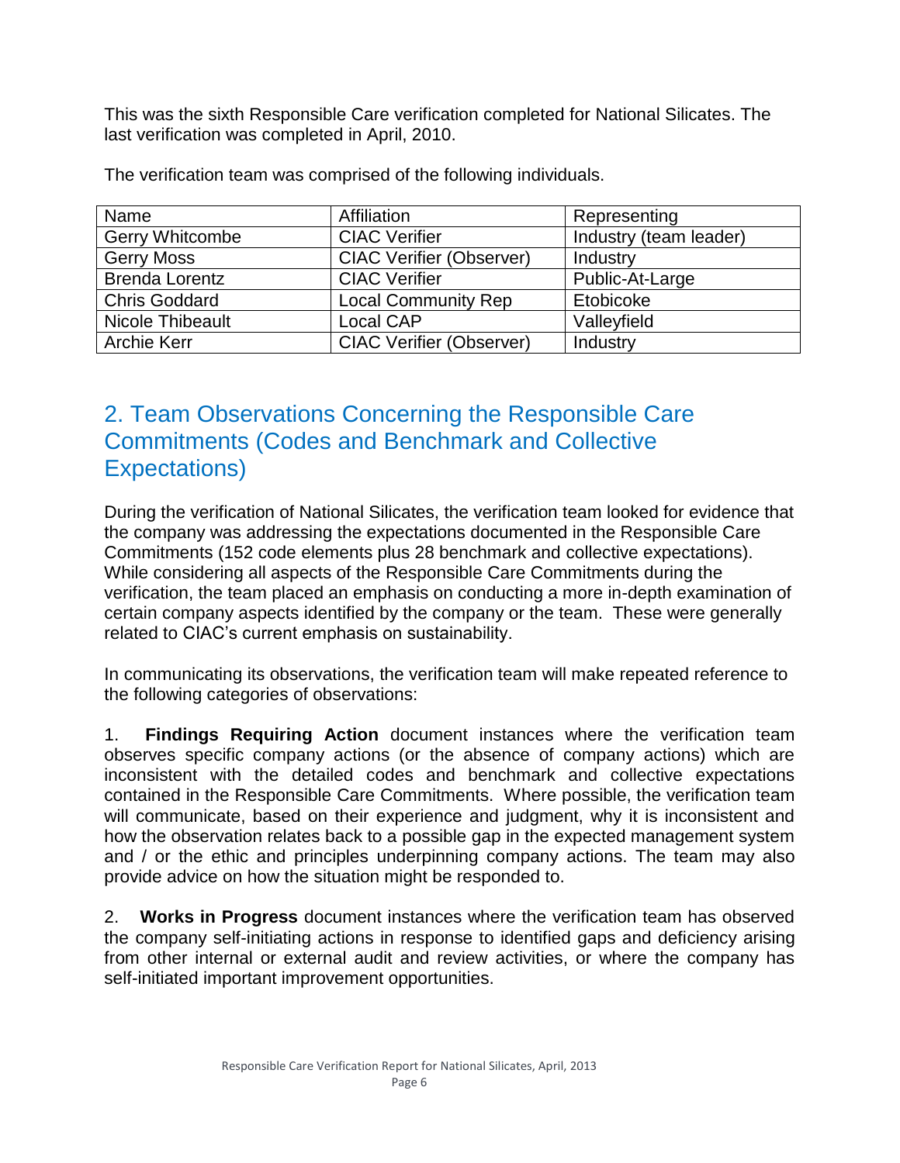This was the sixth Responsible Care verification completed for National Silicates. The last verification was completed in April, 2010.

| Name                   | Affiliation                     | Representing           |
|------------------------|---------------------------------|------------------------|
| <b>Gerry Whitcombe</b> | <b>CIAC Verifier</b>            | Industry (team leader) |
| <b>Gerry Moss</b>      | <b>CIAC Verifier (Observer)</b> | Industry               |
| <b>Brenda Lorentz</b>  | <b>CIAC Verifier</b>            | Public-At-Large        |
| <b>Chris Goddard</b>   | <b>Local Community Rep</b>      | Etobicoke              |
| Nicole Thibeault       | Local CAP                       | Valleyfield            |
| <b>Archie Kerr</b>     | <b>CIAC Verifier (Observer)</b> | Industry               |

The verification team was comprised of the following individuals.

## 2. Team Observations Concerning the Responsible Care Commitments (Codes and Benchmark and Collective Expectations)

During the verification of National Silicates, the verification team looked for evidence that the company was addressing the expectations documented in the Responsible Care Commitments (152 code elements plus 28 benchmark and collective expectations). While considering all aspects of the Responsible Care Commitments during the verification, the team placed an emphasis on conducting a more in-depth examination of certain company aspects identified by the company or the team. These were generally related to CIAC's current emphasis on sustainability.

In communicating its observations, the verification team will make repeated reference to the following categories of observations:

1. **Findings Requiring Action** document instances where the verification team observes specific company actions (or the absence of company actions) which are inconsistent with the detailed codes and benchmark and collective expectations contained in the Responsible Care Commitments. Where possible, the verification team will communicate, based on their experience and judgment, why it is inconsistent and how the observation relates back to a possible gap in the expected management system and / or the ethic and principles underpinning company actions. The team may also provide advice on how the situation might be responded to.

2. **Works in Progress** document instances where the verification team has observed the company self-initiating actions in response to identified gaps and deficiency arising from other internal or external audit and review activities, or where the company has self-initiated important improvement opportunities.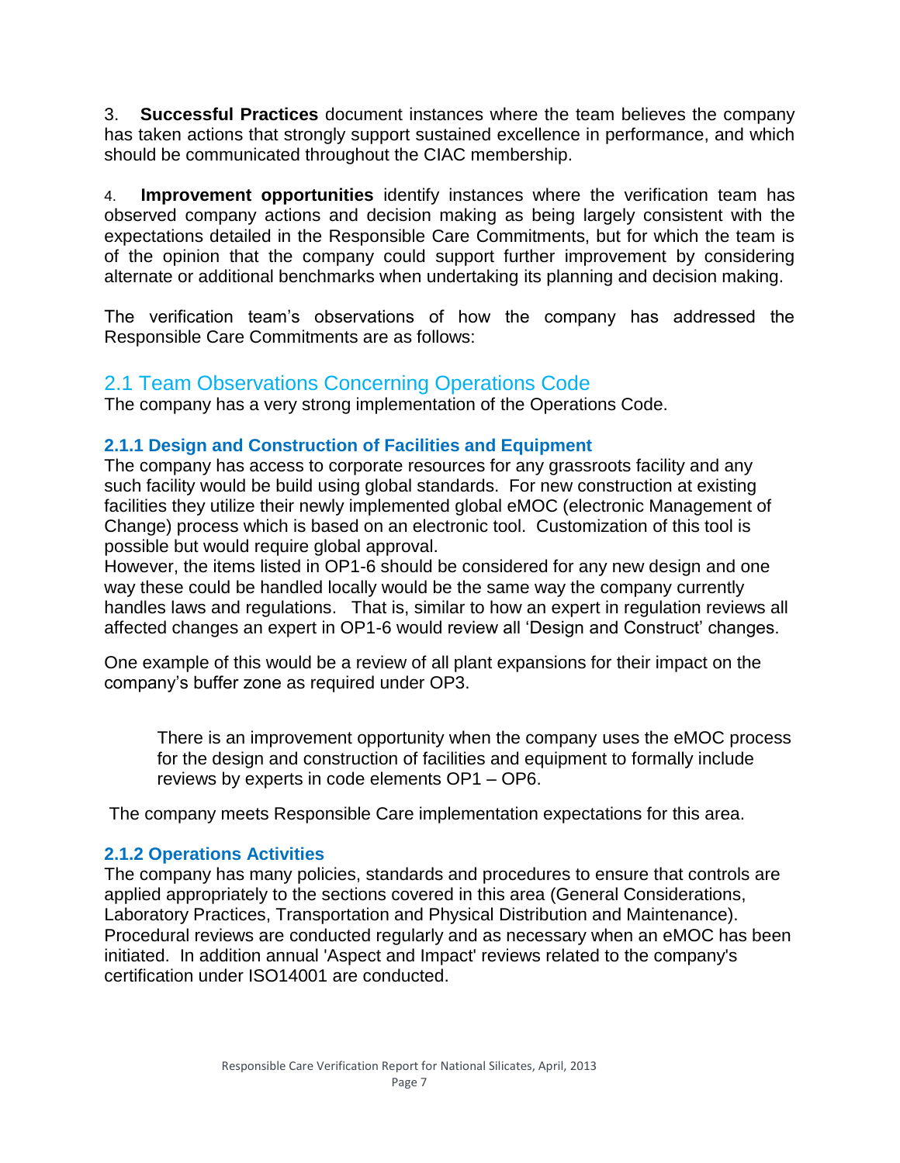3. **Successful Practices** document instances where the team believes the company has taken actions that strongly support sustained excellence in performance, and which should be communicated throughout the CIAC membership.

4. **Improvement opportunities** identify instances where the verification team has observed company actions and decision making as being largely consistent with the expectations detailed in the Responsible Care Commitments, but for which the team is of the opinion that the company could support further improvement by considering alternate or additional benchmarks when undertaking its planning and decision making.

The verification team's observations of how the company has addressed the Responsible Care Commitments are as follows:

#### 2.1 Team Observations Concerning Operations Code

The company has a very strong implementation of the Operations Code.

#### **2.1.1 Design and Construction of Facilities and Equipment**

The company has access to corporate resources for any grassroots facility and any such facility would be build using global standards. For new construction at existing facilities they utilize their newly implemented global eMOC (electronic Management of Change) process which is based on an electronic tool. Customization of this tool is possible but would require global approval.

However, the items listed in OP1-6 should be considered for any new design and one way these could be handled locally would be the same way the company currently handles laws and regulations. That is, similar to how an expert in regulation reviews all affected changes an expert in OP1-6 would review all 'Design and Construct' changes.

One example of this would be a review of all plant expansions for their impact on the company's buffer zone as required under OP3.

<span id="page-7-0"></span>There is an improvement opportunity when the company uses the eMOC process for the design and construction of facilities and equipment to formally include reviews by experts in code elements OP1 – OP6.

The company meets Responsible Care implementation expectations for this area.

#### **2.1.2 Operations Activities**

The company has many policies, standards and procedures to ensure that controls are applied appropriately to the sections covered in this area (General Considerations, Laboratory Practices, Transportation and Physical Distribution and Maintenance). Procedural reviews are conducted regularly and as necessary when an eMOC has been initiated. In addition annual 'Aspect and Impact' reviews related to the company's certification under ISO14001 are conducted.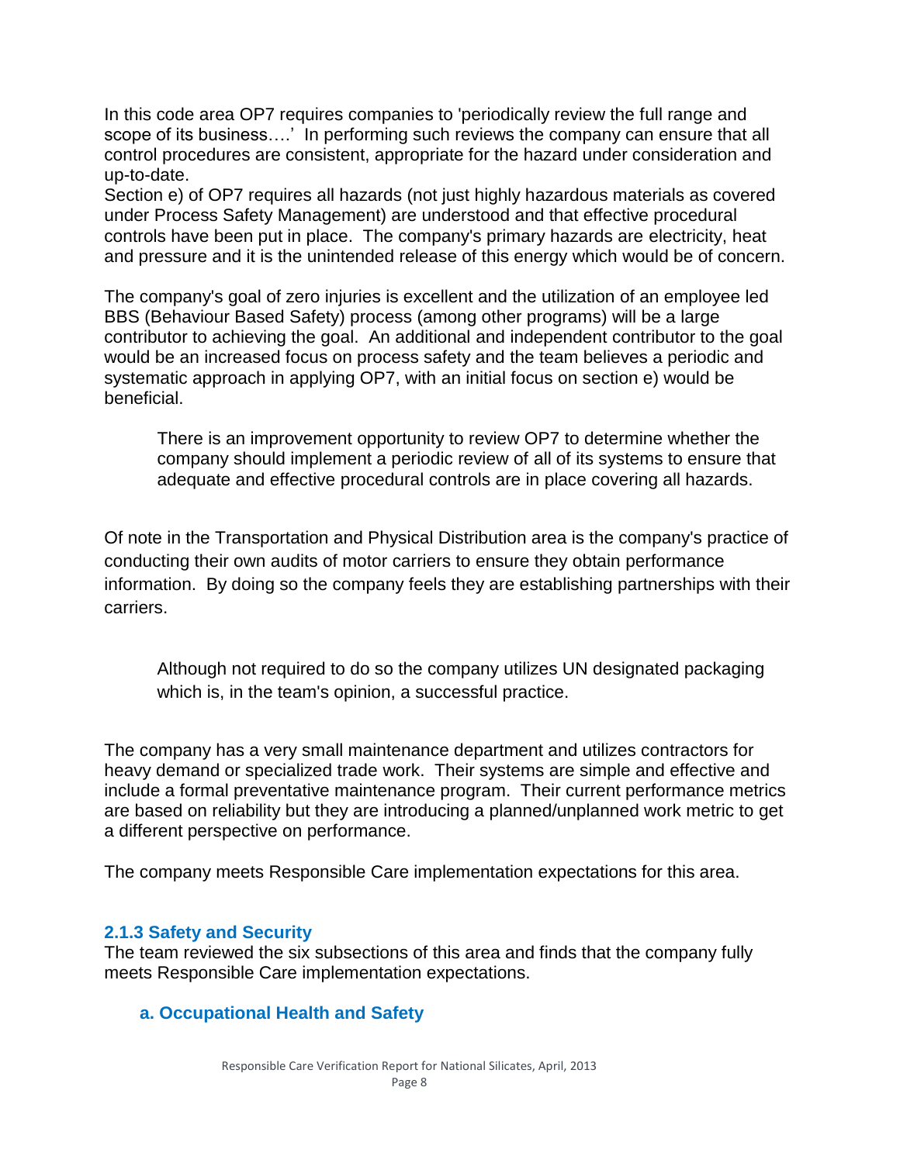In this code area OP7 requires companies to 'periodically review the full range and scope of its business….' In performing such reviews the company can ensure that all control procedures are consistent, appropriate for the hazard under consideration and up-to-date.

Section e) of OP7 requires all hazards (not just highly hazardous materials as covered under Process Safety Management) are understood and that effective procedural controls have been put in place. The company's primary hazards are electricity, heat and pressure and it is the unintended release of this energy which would be of concern.

The company's goal of zero injuries is excellent and the utilization of an employee led BBS (Behaviour Based Safety) process (among other programs) will be a large contributor to achieving the goal. An additional and independent contributor to the goal would be an increased focus on process safety and the team believes a periodic and systematic approach in applying OP7, with an initial focus on section e) would be beneficial.

<span id="page-8-0"></span>There is an improvement opportunity to review OP7 to determine whether the company should implement a periodic review of all of its systems to ensure that adequate and effective procedural controls are in place covering all hazards.

Of note in the Transportation and Physical Distribution area is the company's practice of conducting their own audits of motor carriers to ensure they obtain performance information. By doing so the company feels they are establishing partnerships with their carriers.

<span id="page-8-1"></span>Although not required to do so the company utilizes UN designated packaging which is, in the team's opinion, a successful practice.

The company has a very small maintenance department and utilizes contractors for heavy demand or specialized trade work. Their systems are simple and effective and include a formal preventative maintenance program. Their current performance metrics are based on reliability but they are introducing a planned/unplanned work metric to get a different perspective on performance.

The company meets Responsible Care implementation expectations for this area.

#### **2.1.3 Safety and Security**

The team reviewed the six subsections of this area and finds that the company fully meets Responsible Care implementation expectations.

#### **a. Occupational Health and Safety**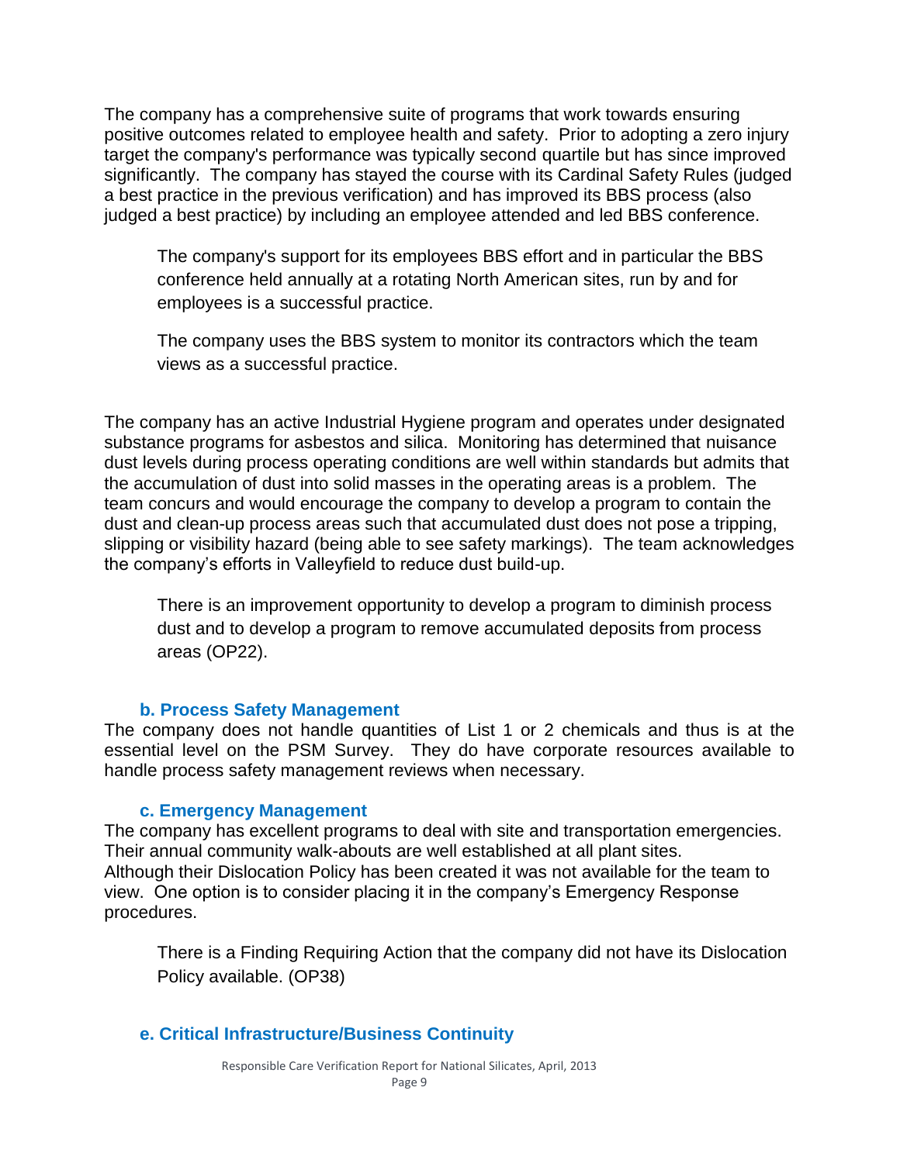The company has a comprehensive suite of programs that work towards ensuring positive outcomes related to employee health and safety. Prior to adopting a zero injury target the company's performance was typically second quartile but has since improved significantly. The company has stayed the course with its Cardinal Safety Rules (judged a best practice in the previous verification) and has improved its BBS process (also judged a best practice) by including an employee attended and led BBS conference.

<span id="page-9-2"></span>The company's support for its employees BBS effort and in particular the BBS conference held annually at a rotating North American sites, run by and for employees is a successful practice.

<span id="page-9-3"></span>The company uses the BBS system to monitor its contractors which the team views as a successful practice.

The company has an active Industrial Hygiene program and operates under designated substance programs for asbestos and silica. Monitoring has determined that nuisance dust levels during process operating conditions are well within standards but admits that the accumulation of dust into solid masses in the operating areas is a problem. The team concurs and would encourage the company to develop a program to contain the dust and clean-up process areas such that accumulated dust does not pose a tripping, slipping or visibility hazard (being able to see safety markings). The team acknowledges the company's efforts in Valleyfield to reduce dust build-up.

<span id="page-9-1"></span>There is an improvement opportunity to develop a program to diminish process dust and to develop a program to remove accumulated deposits from process areas (OP22).

#### **b. Process Safety Management**

The company does not handle quantities of List 1 or 2 chemicals and thus is at the essential level on the PSM Survey. They do have corporate resources available to handle process safety management reviews when necessary.

#### **c. Emergency Management**

The company has excellent programs to deal with site and transportation emergencies. Their annual community walk-abouts are well established at all plant sites. Although their Dislocation Policy has been created it was not available for the team to view. One option is to consider placing it in the company's Emergency Response procedures.

<span id="page-9-0"></span>There is a Finding Requiring Action that the company did not have its Dislocation Policy available. (OP38)

#### **e. Critical Infrastructure/Business Continuity**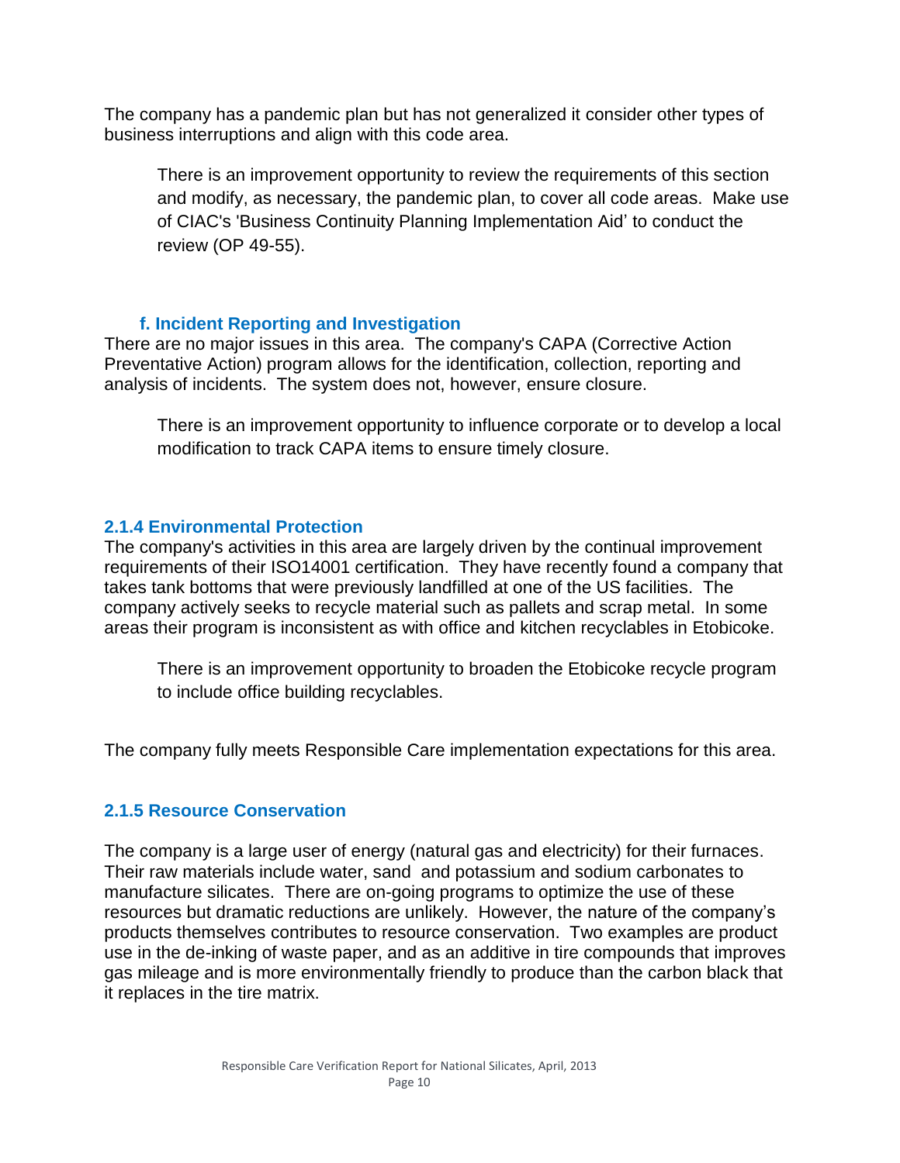The company has a pandemic plan but has not generalized it consider other types of business interruptions and align with this code area.

<span id="page-10-0"></span>There is an improvement opportunity to review the requirements of this section and modify, as necessary, the pandemic plan, to cover all code areas. Make use of CIAC's 'Business Continuity Planning Implementation Aid' to conduct the review (OP 49-55).

#### **f. Incident Reporting and Investigation**

There are no major issues in this area. The company's CAPA (Corrective Action Preventative Action) program allows for the identification, collection, reporting and analysis of incidents. The system does not, however, ensure closure.

<span id="page-10-1"></span>There is an improvement opportunity to influence corporate or to develop a local modification to track CAPA items to ensure timely closure.

#### **2.1.4 Environmental Protection**

The company's activities in this area are largely driven by the continual improvement requirements of their ISO14001 certification. They have recently found a company that takes tank bottoms that were previously landfilled at one of the US facilities. The company actively seeks to recycle material such as pallets and scrap metal. In some areas their program is inconsistent as with office and kitchen recyclables in Etobicoke.

<span id="page-10-2"></span>There is an improvement opportunity to broaden the Etobicoke recycle program to include office building recyclables.

The company fully meets Responsible Care implementation expectations for this area.

#### **2.1.5 Resource Conservation**

The company is a large user of energy (natural gas and electricity) for their furnaces. Their raw materials include water, sand and potassium and sodium carbonates to manufacture silicates. There are on-going programs to optimize the use of these resources but dramatic reductions are unlikely. However, the nature of the company's products themselves contributes to resource conservation. Two examples are product use in the de-inking of waste paper, and as an additive in tire compounds that improves gas mileage and is more environmentally friendly to produce than the carbon black that it replaces in the tire matrix.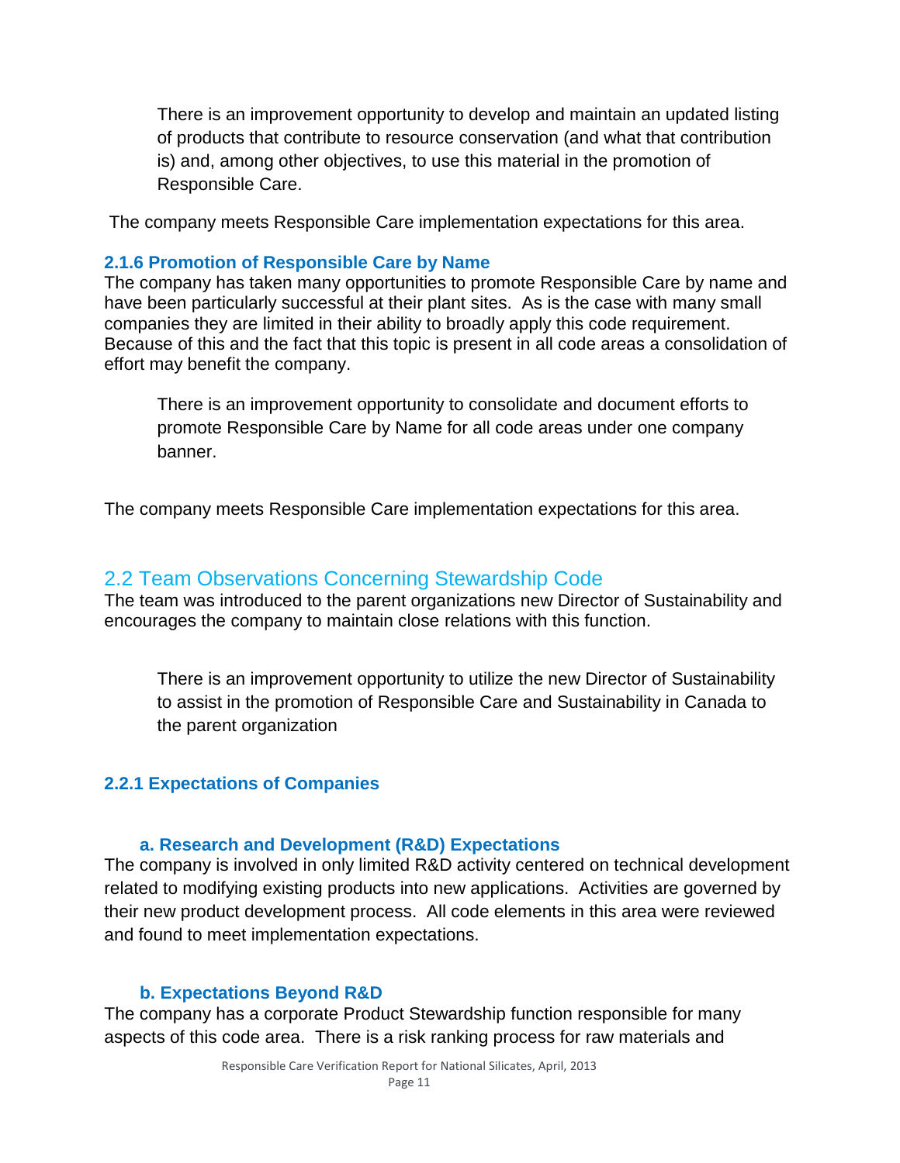<span id="page-11-0"></span>There is an improvement opportunity to develop and maintain an updated listing of products that contribute to resource conservation (and what that contribution is) and, among other objectives, to use this material in the promotion of Responsible Care.

The company meets Responsible Care implementation expectations for this area.

#### **2.1.6 Promotion of Responsible Care by Name**

The company has taken many opportunities to promote Responsible Care by name and have been particularly successful at their plant sites. As is the case with many small companies they are limited in their ability to broadly apply this code requirement. Because of this and the fact that this topic is present in all code areas a consolidation of effort may benefit the company.

<span id="page-11-1"></span>There is an improvement opportunity to consolidate and document efforts to promote Responsible Care by Name for all code areas under one company banner.

The company meets Responsible Care implementation expectations for this area.

#### 2.2 Team Observations Concerning Stewardship Code

The team was introduced to the parent organizations new Director of Sustainability and encourages the company to maintain close relations with this function.

<span id="page-11-2"></span>There is an improvement opportunity to utilize the new Director of Sustainability to assist in the promotion of Responsible Care and Sustainability in Canada to the parent organization

#### **2.2.1 Expectations of Companies**

#### **a. Research and Development (R&D) Expectations**

The company is involved in only limited R&D activity centered on technical development related to modifying existing products into new applications. Activities are governed by their new product development process. All code elements in this area were reviewed and found to meet implementation expectations.

#### **b. Expectations Beyond R&D**

The company has a corporate Product Stewardship function responsible for many aspects of this code area. There is a risk ranking process for raw materials and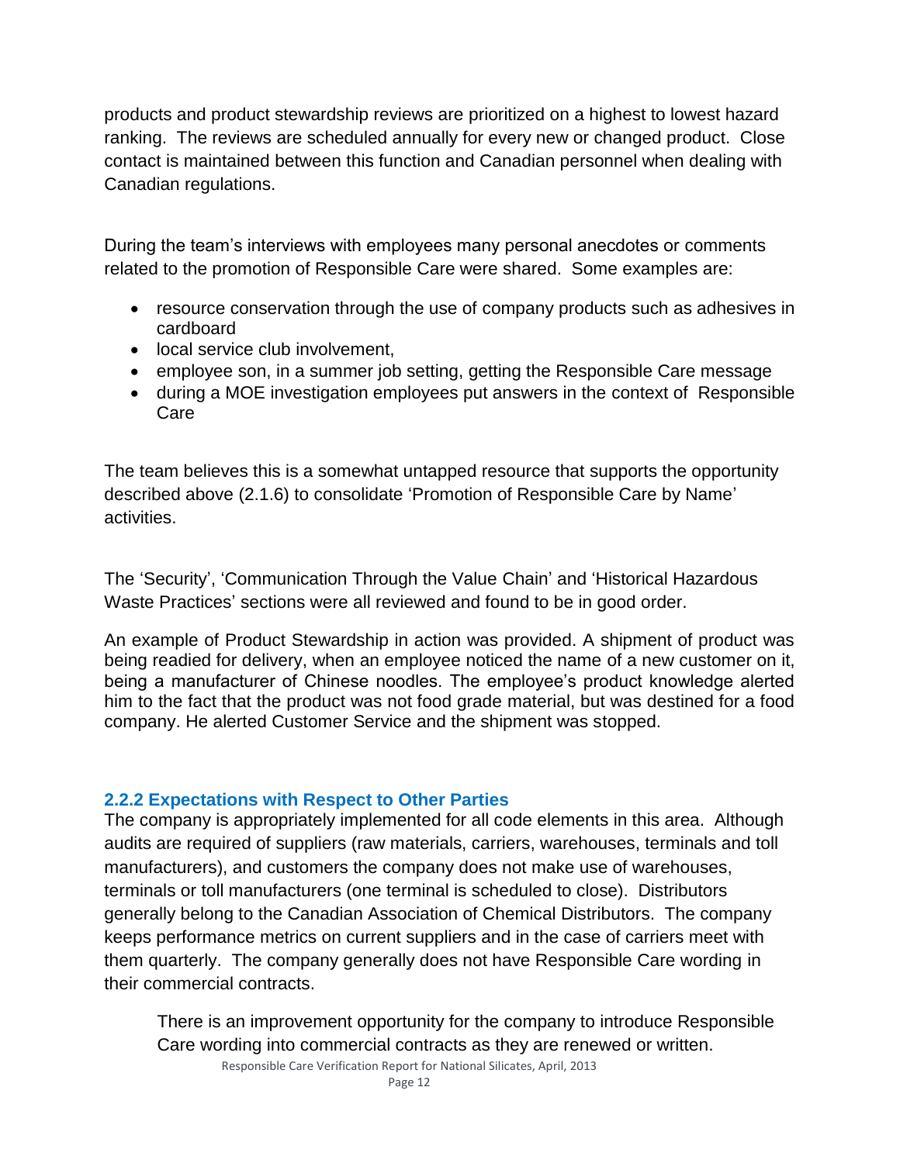products and product stewardship reviews are prioritized on a highest to lowest hazard ranking. The reviews are scheduled annually for every new or changed product. Close contact is maintained between this function and Canadian personnel when dealing with Canadian regulations.

During the team's interviews with employees many personal anecdotes or comments related to the promotion of Responsible Care were shared. Some examples are:

- resource conservation through the use of company products such as adhesives in cardboard
- local service club involvement,
- employee son, in a summer job setting, getting the Responsible Care message
- during a MOE investigation employees put answers in the context of Responsible Care

The team believes this is a somewhat untapped resource that supports the opportunity described above (2.1.6) to consolidate 'Promotion of Responsible Care by Name' activities.

The 'Security', 'Communication Through the Value Chain' and 'Historical Hazardous Waste Practices' sections were all reviewed and found to be in good order.

An example of Product Stewardship in action was provided. A shipment of product was being readied for delivery, when an employee noticed the name of a new customer on it, being a manufacturer of Chinese noodles. The employee's product knowledge alerted him to the fact that the product was not food grade material, but was destined for a food company. He alerted Customer Service and the shipment was stopped.

#### **2.2.2 Expectations with Respect to Other Parties**

The company is appropriately implemented for all code elements in this area. Although audits are required of suppliers (raw materials, carriers, warehouses, terminals and toll manufacturers), and customers the company does not make use of warehouses, terminals or toll manufacturers (one terminal is scheduled to close). Distributors generally belong to the Canadian Association of Chemical Distributors. The company keeps performance metrics on current suppliers and in the case of carriers meet with them quarterly. The company generally does not have Responsible Care wording in their commercial contracts.

<span id="page-12-0"></span>There is an improvement opportunity for the company to introduce Responsible Care wording into commercial contracts as they are renewed or written.

Responsible Care Verification Report for National Silicates, April, 2013 Page 12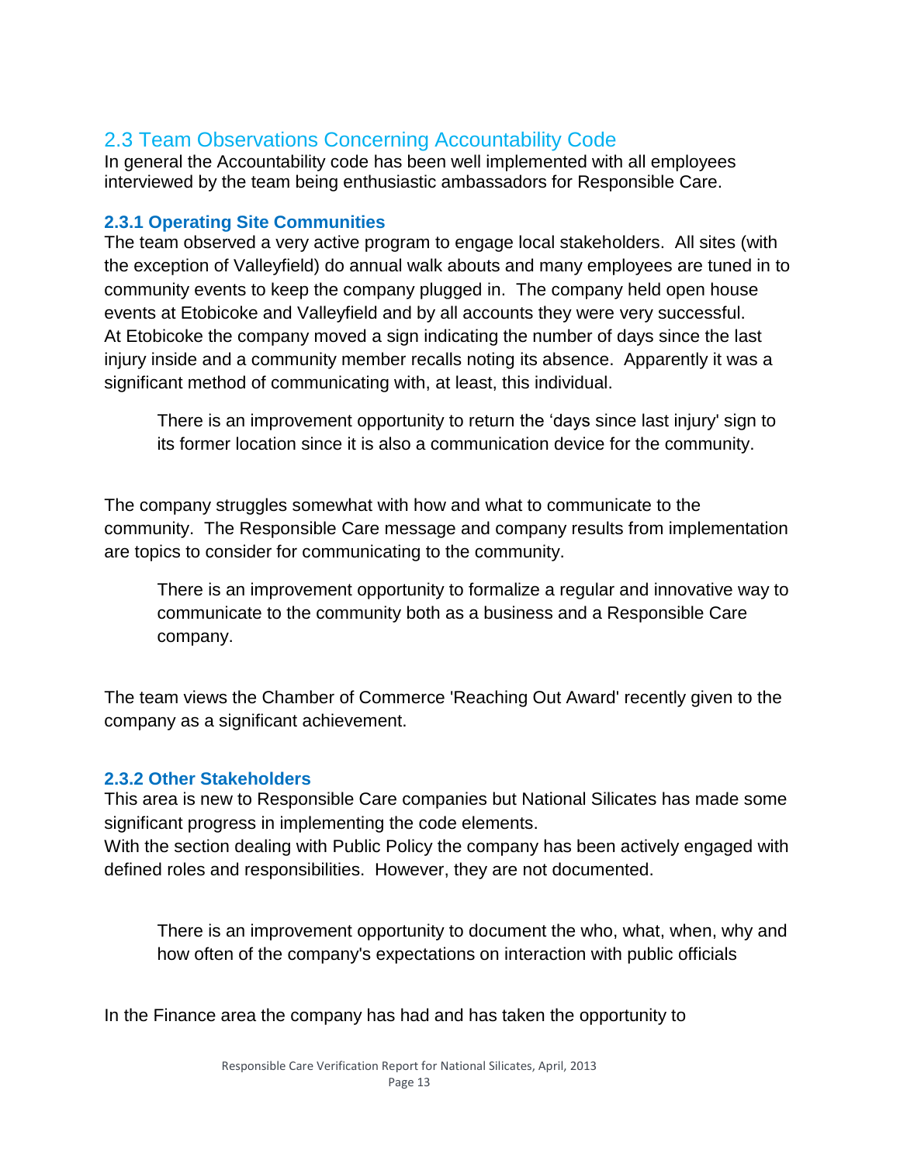## 2.3 Team Observations Concerning Accountability Code

In general the Accountability code has been well implemented with all employees interviewed by the team being enthusiastic ambassadors for Responsible Care.

#### **2.3.1 Operating Site Communities**

The team observed a very active program to engage local stakeholders. All sites (with the exception of Valleyfield) do annual walk abouts and many employees are tuned in to community events to keep the company plugged in. The company held open house events at Etobicoke and Valleyfield and by all accounts they were very successful. At Etobicoke the company moved a sign indicating the number of days since the last injury inside and a community member recalls noting its absence. Apparently it was a significant method of communicating with, at least, this individual.

<span id="page-13-0"></span>There is an improvement opportunity to return the 'days since last injury' sign to its former location since it is also a communication device for the community.

The company struggles somewhat with how and what to communicate to the community. The Responsible Care message and company results from implementation are topics to consider for communicating to the community.

<span id="page-13-1"></span>There is an improvement opportunity to formalize a regular and innovative way to communicate to the community both as a business and a Responsible Care company.

The team views the Chamber of Commerce 'Reaching Out Award' recently given to the company as a significant achievement.

#### **2.3.2 Other Stakeholders**

This area is new to Responsible Care companies but National Silicates has made some significant progress in implementing the code elements.

With the section dealing with Public Policy the company has been actively engaged with defined roles and responsibilities. However, they are not documented.

<span id="page-13-2"></span>There is an improvement opportunity to document the who, what, when, why and how often of the company's expectations on interaction with public officials

In the Finance area the company has had and has taken the opportunity to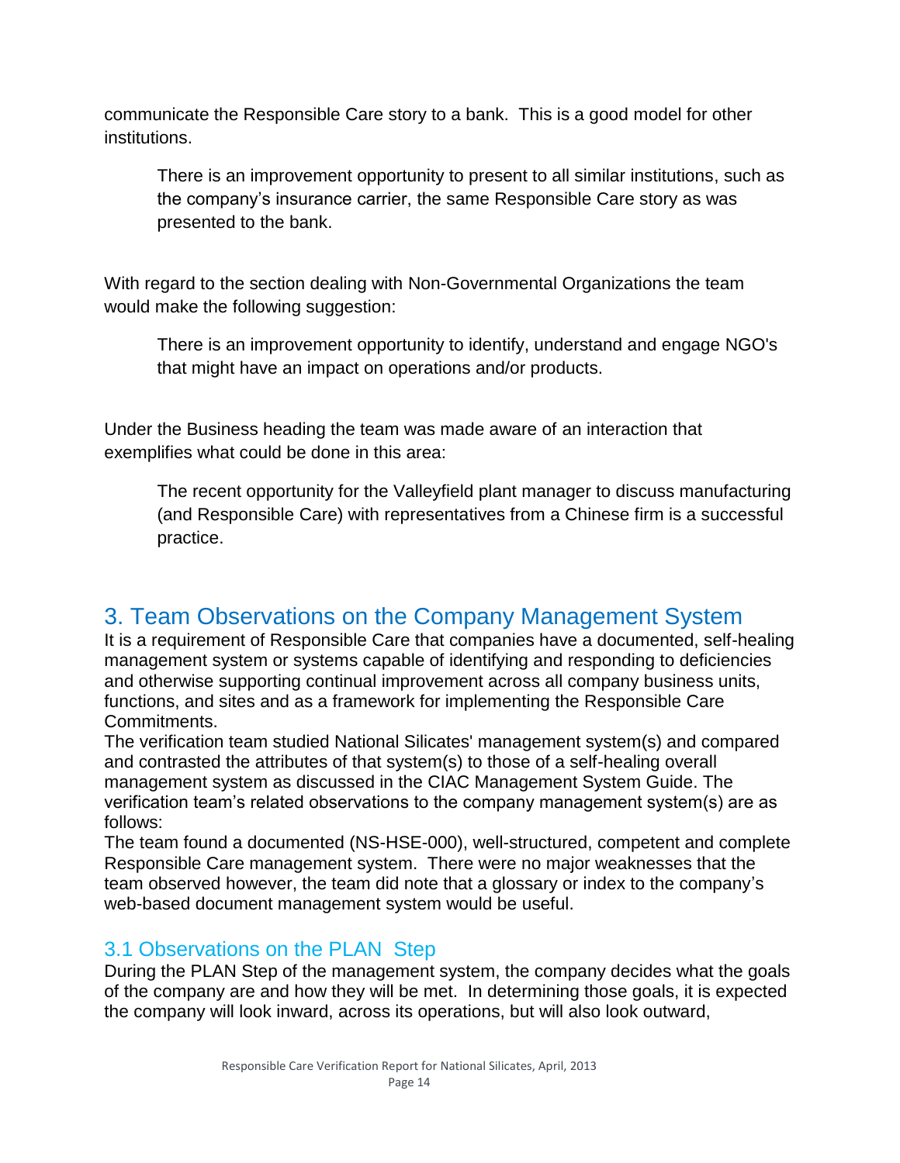communicate the Responsible Care story to a bank. This is a good model for other institutions.

<span id="page-14-0"></span>There is an improvement opportunity to present to all similar institutions, such as the company's insurance carrier, the same Responsible Care story as was presented to the bank.

With regard to the section dealing with Non-Governmental Organizations the team would make the following suggestion:

<span id="page-14-1"></span>There is an improvement opportunity to identify, understand and engage NGO's that might have an impact on operations and/or products.

Under the Business heading the team was made aware of an interaction that exemplifies what could be done in this area:

<span id="page-14-2"></span>The recent opportunity for the Valleyfield plant manager to discuss manufacturing (and Responsible Care) with representatives from a Chinese firm is a successful practice.

## 3. Team Observations on the Company Management System

It is a requirement of Responsible Care that companies have a documented, self-healing management system or systems capable of identifying and responding to deficiencies and otherwise supporting continual improvement across all company business units, functions, and sites and as a framework for implementing the Responsible Care Commitments.

The verification team studied National Silicates' management system(s) and compared and contrasted the attributes of that system(s) to those of a self-healing overall management system as discussed in the CIAC Management System Guide. The verification team's related observations to the company management system(s) are as follows:

The team found a documented (NS-HSE-000), well-structured, competent and complete Responsible Care management system. There were no major weaknesses that the team observed however, the team did note that a glossary or index to the company's web-based document management system would be useful.

#### 3.1 Observations on the PLAN Step

During the PLAN Step of the management system, the company decides what the goals of the company are and how they will be met. In determining those goals, it is expected the company will look inward, across its operations, but will also look outward,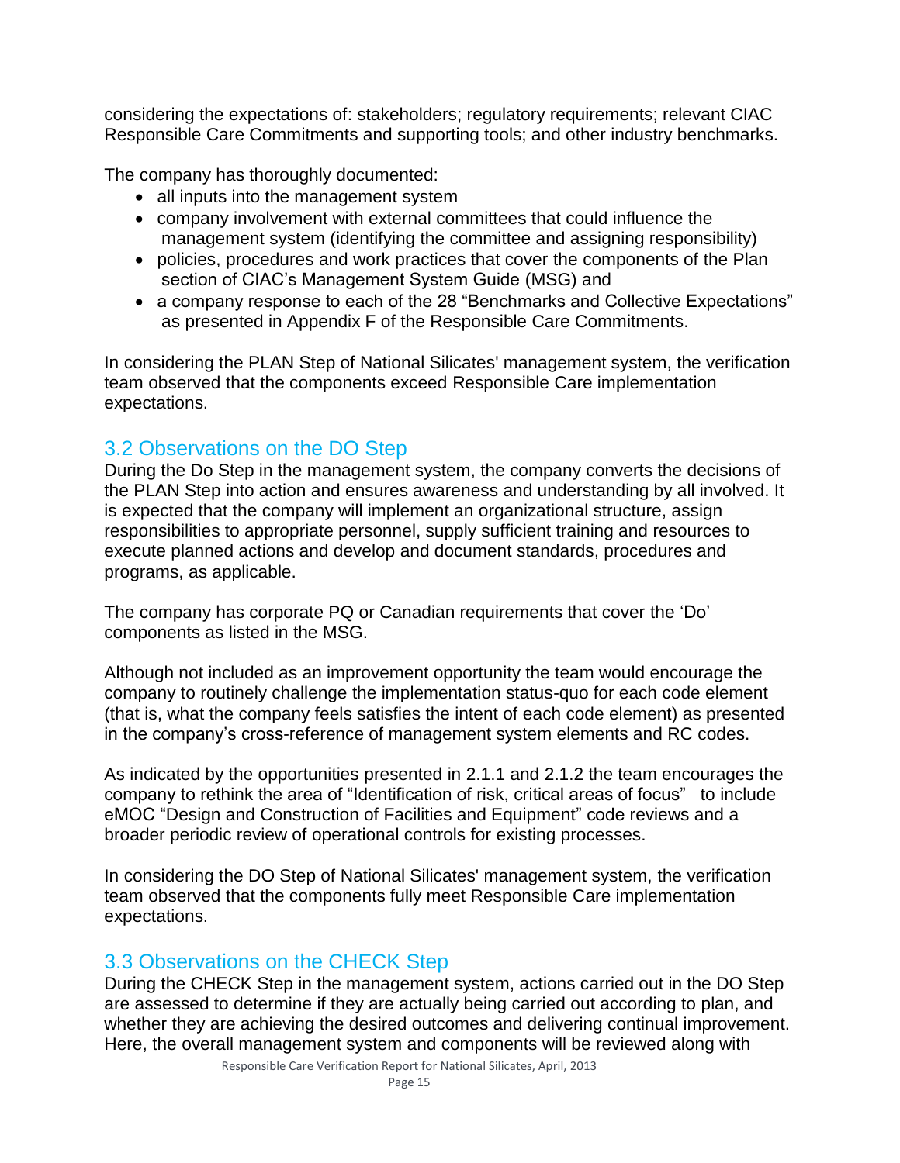considering the expectations of: stakeholders; regulatory requirements; relevant CIAC Responsible Care Commitments and supporting tools; and other industry benchmarks.

The company has thoroughly documented:

- all inputs into the management system
- company involvement with external committees that could influence the management system (identifying the committee and assigning responsibility)
- policies, procedures and work practices that cover the components of the Plan section of CIAC's Management System Guide (MSG) and
- a company response to each of the 28 "Benchmarks and Collective Expectations" as presented in Appendix F of the Responsible Care Commitments.

In considering the PLAN Step of National Silicates' management system, the verification team observed that the components exceed Responsible Care implementation expectations.

## 3.2 Observations on the DO Step

During the Do Step in the management system, the company converts the decisions of the PLAN Step into action and ensures awareness and understanding by all involved. It is expected that the company will implement an organizational structure, assign responsibilities to appropriate personnel, supply sufficient training and resources to execute planned actions and develop and document standards, procedures and programs, as applicable.

The company has corporate PQ or Canadian requirements that cover the 'Do' components as listed in the MSG.

Although not included as an improvement opportunity the team would encourage the company to routinely challenge the implementation status-quo for each code element (that is, what the company feels satisfies the intent of each code element) as presented in the company's cross-reference of management system elements and RC codes.

As indicated by the opportunities presented in 2.1.1 and 2.1.2 the team encourages the company to rethink the area of "Identification of risk, critical areas of focus" to include eMOC "Design and Construction of Facilities and Equipment" code reviews and a broader periodic review of operational controls for existing processes.

In considering the DO Step of National Silicates' management system, the verification team observed that the components fully meet Responsible Care implementation expectations.

## 3.3 Observations on the CHECK Step

During the CHECK Step in the management system, actions carried out in the DO Step are assessed to determine if they are actually being carried out according to plan, and whether they are achieving the desired outcomes and delivering continual improvement. Here, the overall management system and components will be reviewed along with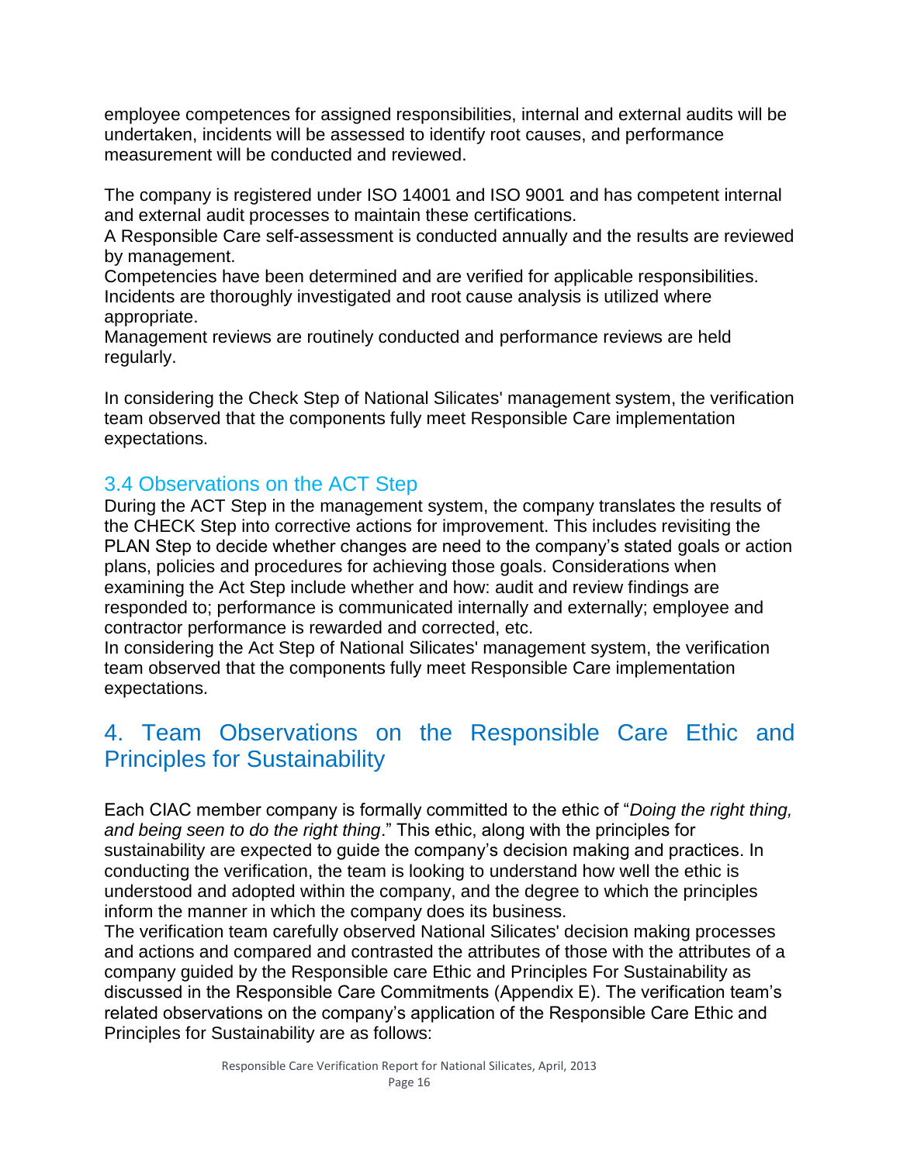employee competences for assigned responsibilities, internal and external audits will be undertaken, incidents will be assessed to identify root causes, and performance measurement will be conducted and reviewed.

The company is registered under ISO 14001 and ISO 9001 and has competent internal and external audit processes to maintain these certifications.

A Responsible Care self-assessment is conducted annually and the results are reviewed by management.

Competencies have been determined and are verified for applicable responsibilities. Incidents are thoroughly investigated and root cause analysis is utilized where appropriate.

Management reviews are routinely conducted and performance reviews are held regularly.

In considering the Check Step of National Silicates' management system, the verification team observed that the components fully meet Responsible Care implementation expectations.

## 3.4 Observations on the ACT Step

During the ACT Step in the management system, the company translates the results of the CHECK Step into corrective actions for improvement. This includes revisiting the PLAN Step to decide whether changes are need to the company's stated goals or action plans, policies and procedures for achieving those goals. Considerations when examining the Act Step include whether and how: audit and review findings are responded to; performance is communicated internally and externally; employee and contractor performance is rewarded and corrected, etc.

In considering the Act Step of National Silicates' management system, the verification team observed that the components fully meet Responsible Care implementation expectations.

## 4. Team Observations on the Responsible Care Ethic and Principles for Sustainability

Each CIAC member company is formally committed to the ethic of "*Doing the right thing, and being seen to do the right thing*." This ethic, along with the principles for sustainability are expected to guide the company's decision making and practices. In conducting the verification, the team is looking to understand how well the ethic is understood and adopted within the company, and the degree to which the principles inform the manner in which the company does its business.

The verification team carefully observed National Silicates' decision making processes and actions and compared and contrasted the attributes of those with the attributes of a company guided by the Responsible care Ethic and Principles For Sustainability as discussed in the Responsible Care Commitments (Appendix E). The verification team's related observations on the company's application of the Responsible Care Ethic and Principles for Sustainability are as follows: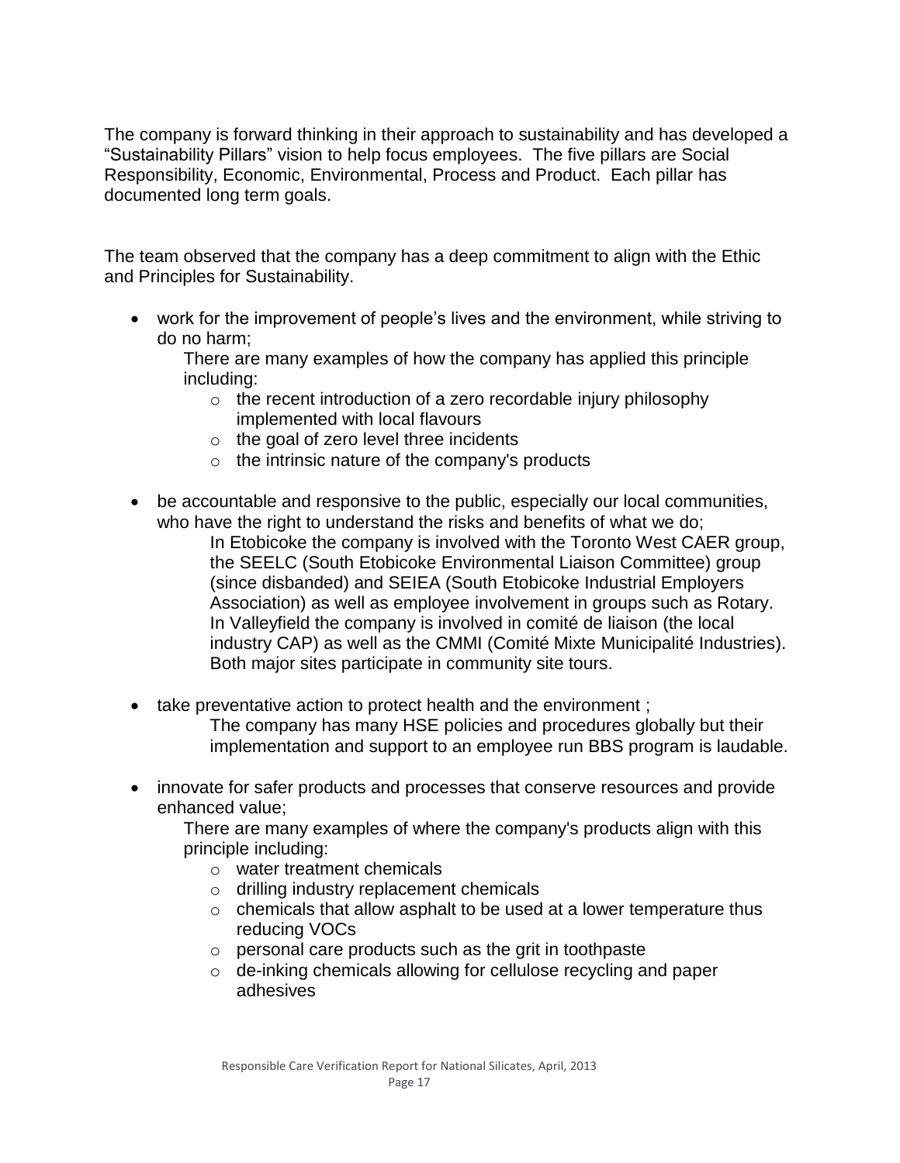The company is forward thinking in their approach to sustainability and has developed a "Sustainability Pillars" vision to help focus employees. The five pillars are Social Responsibility, Economic, Environmental, Process and Product. Each pillar has documented long term goals.

The team observed that the company has a deep commitment to align with the Ethic and Principles for Sustainability.

 work for the improvement of people's lives and the environment, while striving to do no harm;

There are many examples of how the company has applied this principle including:

- $\circ$  the recent introduction of a zero recordable injury philosophy implemented with local flavours
- $\circ$  the goal of zero level three incidents
- o the intrinsic nature of the company's products
- be accountable and responsive to the public, especially our local communities, who have the right to understand the risks and benefits of what we do;

In Etobicoke the company is involved with the Toronto West CAER group, the SEELC (South Etobicoke Environmental Liaison Committee) group (since disbanded) and SEIEA (South Etobicoke Industrial Employers Association) as well as employee involvement in groups such as Rotary. In Valleyfield the company is involved in comité de liaison (the local industry CAP) as well as the CMMI (Comité Mixte Municipalité Industries). Both major sites participate in community site tours.

- take preventative action to protect health and the environment ; The company has many HSE policies and procedures globally but their implementation and support to an employee run BBS program is laudable.
- innovate for safer products and processes that conserve resources and provide enhanced value;

There are many examples of where the company's products align with this principle including:

- o water treatment chemicals
- o drilling industry replacement chemicals
- o chemicals that allow asphalt to be used at a lower temperature thus reducing VOCs
- o personal care products such as the grit in toothpaste
- o de-inking chemicals allowing for cellulose recycling and paper adhesives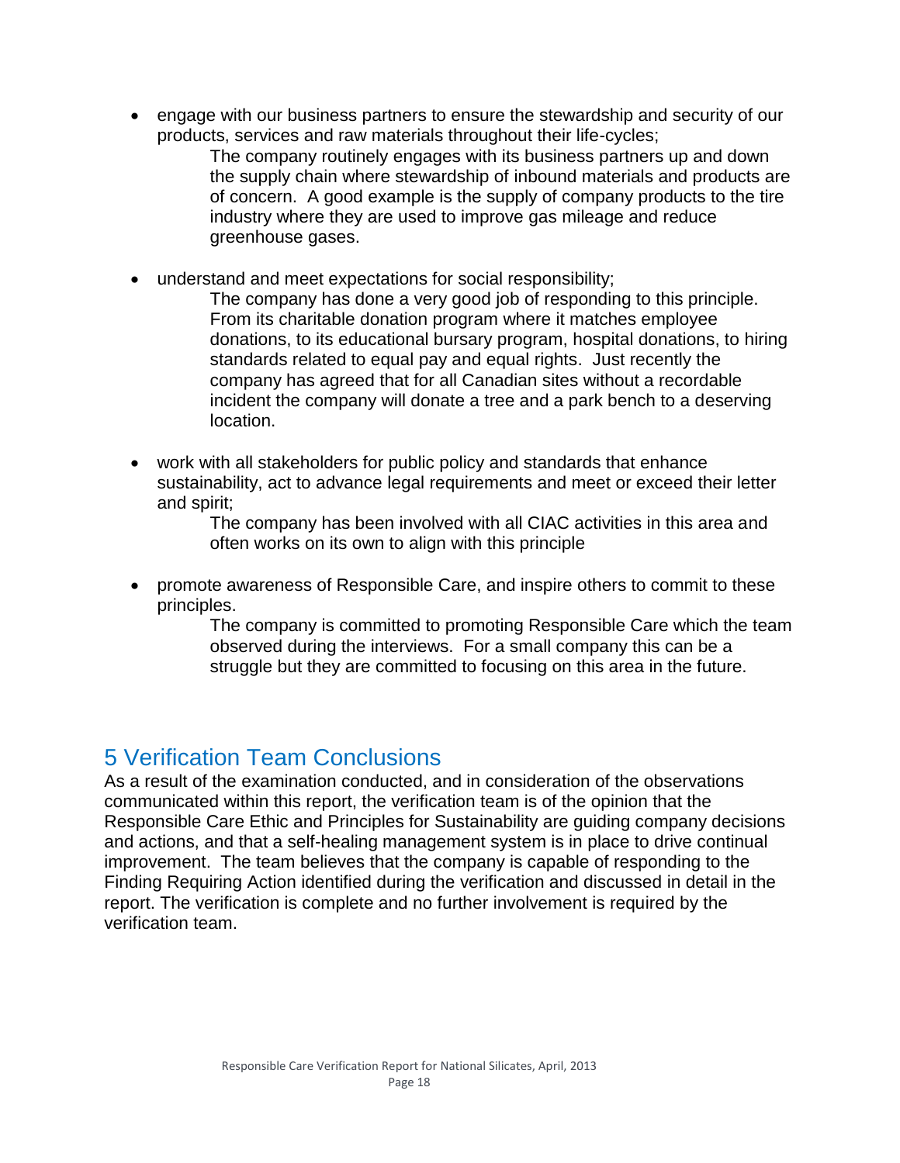engage with our business partners to ensure the stewardship and security of our products, services and raw materials throughout their life-cycles;

The company routinely engages with its business partners up and down the supply chain where stewardship of inbound materials and products are of concern. A good example is the supply of company products to the tire industry where they are used to improve gas mileage and reduce greenhouse gases.

understand and meet expectations for social responsibility;

The company has done a very good job of responding to this principle. From its charitable donation program where it matches employee donations, to its educational bursary program, hospital donations, to hiring standards related to equal pay and equal rights. Just recently the company has agreed that for all Canadian sites without a recordable incident the company will donate a tree and a park bench to a deserving location.

 work with all stakeholders for public policy and standards that enhance sustainability, act to advance legal requirements and meet or exceed their letter and spirit;

The company has been involved with all CIAC activities in this area and often works on its own to align with this principle

 promote awareness of Responsible Care, and inspire others to commit to these principles.

The company is committed to promoting Responsible Care which the team observed during the interviews. For a small company this can be a struggle but they are committed to focusing on this area in the future.

## 5 Verification Team Conclusions

As a result of the examination conducted, and in consideration of the observations communicated within this report, the verification team is of the opinion that the Responsible Care Ethic and Principles for Sustainability are guiding company decisions and actions, and that a self-healing management system is in place to drive continual improvement. The team believes that the company is capable of responding to the Finding Requiring Action identified during the verification and discussed in detail in the report. The verification is complete and no further involvement is required by the verification team.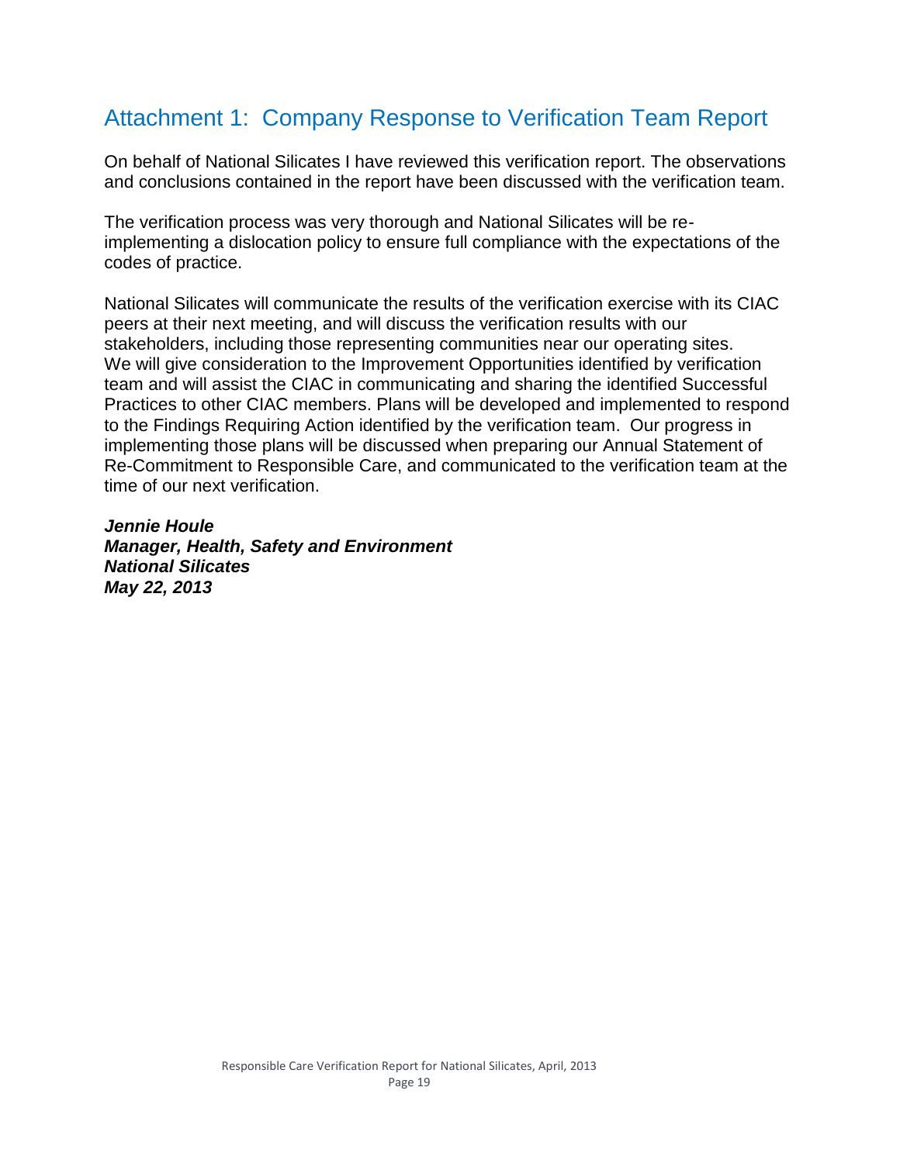## Attachment 1: Company Response to Verification Team Report

On behalf of National Silicates I have reviewed this verification report. The observations and conclusions contained in the report have been discussed with the verification team.

The verification process was very thorough and National Silicates will be reimplementing a dislocation policy to ensure full compliance with the expectations of the codes of practice.

National Silicates will communicate the results of the verification exercise with its CIAC peers at their next meeting, and will discuss the verification results with our stakeholders, including those representing communities near our operating sites. We will give consideration to the Improvement Opportunities identified by verification team and will assist the CIAC in communicating and sharing the identified Successful Practices to other CIAC members. Plans will be developed and implemented to respond to the Findings Requiring Action identified by the verification team. Our progress in implementing those plans will be discussed when preparing our Annual Statement of Re-Commitment to Responsible Care, and communicated to the verification team at the time of our next verification.

*Jennie Houle Manager, Health, Safety and Environment National Silicates May 22, 2013*